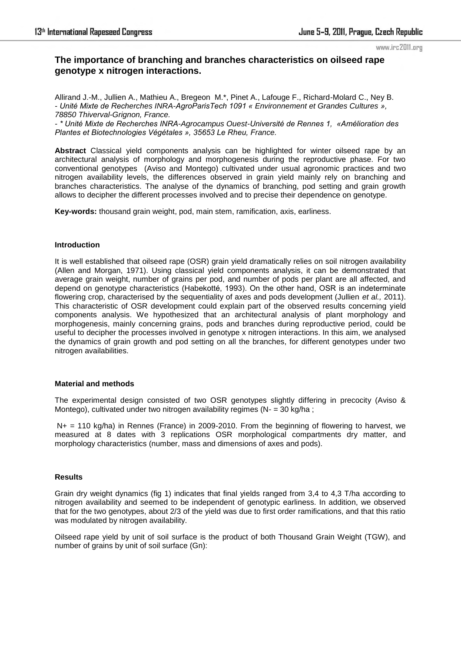# **The importance of branching and branches characteristics on oilseed rape genotype x nitrogen interactions.**

Allirand J.-M., Jullien A., Mathieu A., Bregeon M.\*, Pinet A., Lafouge F., Richard-Molard C., Ney B. *- Unité Mixte de Recherches INRA-AgroParisTech 1091 « Environnement et Grandes Cultures », 78850 Thiverval-Grignon, France.* 

*- \* Unité Mixte de Recherches INRA-Agrocampus Ouest-Université de Rennes 1, «Amélioration des Plantes et Biotechnologies Végétales », 35653 Le Rheu, France.* 

**Abstract** Classical yield components analysis can be highlighted for winter oilseed rape by an architectural analysis of morphology and morphogenesis during the reproductive phase. For two conventional genotypes (Aviso and Montego) cultivated under usual agronomic practices and two nitrogen availability levels, the differences observed in grain yield mainly rely on branching and branches characteristics. The analyse of the dynamics of branching, pod setting and grain growth allows to decipher the different processes involved and to precise their dependence on genotype.

**Key-words:** thousand grain weight, pod, main stem, ramification, axis, earliness.

#### **Introduction**

It is well established that oilseed rape (OSR) grain yield dramatically relies on soil nitrogen availability (Allen and Morgan, 1971). Using classical yield components analysis, it can be demonstrated that average grain weight, number of grains per pod, and number of pods per plant are all affected, and depend on genotype characteristics (Habekotté, 1993). On the other hand, OSR is an indeterminate flowering crop, characterised by the sequentiality of axes and pods development (Jullien *et al.,* 2011). This characteristic of OSR development could explain part of the observed results concerning yield components analysis. We hypothesized that an architectural analysis of plant morphology and morphogenesis, mainly concerning grains, pods and branches during reproductive period, could be useful to decipher the processes involved in genotype x nitrogen interactions. In this aim, we analysed the dynamics of grain growth and pod setting on all the branches, for different genotypes under two nitrogen availabilities.

### **Material and methods**

The experimental design consisted of two OSR genotypes slightly differing in precocity (Aviso & Montego), cultivated under two nitrogen availability regimes (N- = 30 kg/ha ;

 $N_{+}$  = 110 kg/ha) in Rennes (France) in 2009-2010. From the beginning of flowering to harvest, we measured at 8 dates with 3 replications OSR morphological compartments dry matter, and morphology characteristics (number, mass and dimensions of axes and pods).

### **Results**

Grain dry weight dynamics (fig 1) indicates that final yields ranged from 3,4 to 4,3 T/ha according to nitrogen availability and seemed to be independent of genotypic earliness. In addition, we observed that for the two genotypes, about 2/3 of the yield was due to first order ramifications, and that this ratio was modulated by nitrogen availability.

Oilseed rape yield by unit of soil surface is the product of both Thousand Grain Weight (TGW), and number of grains by unit of soil surface (Gn):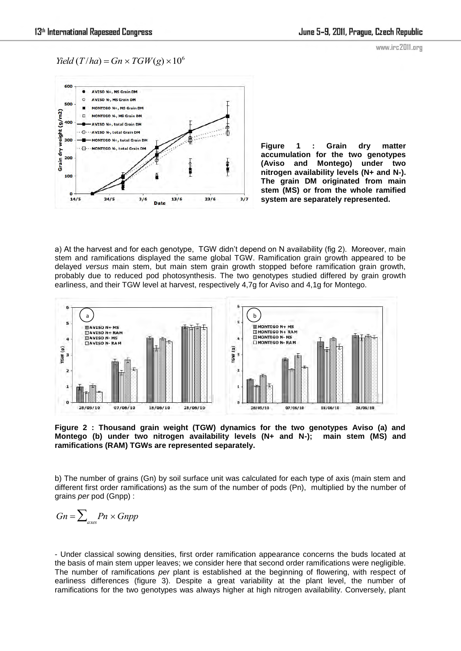*Yield*  $(T/ha) = Gn \times TGW(g) \times 10^6$ 



**Figure 1 : Grain dry matter accumulation for the two genotypes (Aviso and Montego) under two nitrogen availability levels (N+ and N-). The grain DM originated from main stem (MS) or from the whole ramified system are separately represented.** 

a) At the harvest and for each genotype, TGW didn't depend on N availability (fig 2). Moreover, main stem and ramifications displayed the same global TGW. Ramification grain growth appeared to be delayed *versus* main stem, but main stem grain growth stopped before ramification grain growth, probably due to reduced pod photosynthesis. The two genotypes studied differed by grain growth earliness, and their TGW level at harvest, respectively 4,7g for Aviso and 4,1g for Montego.



**Figure 2 : Thousand grain weight (TGW) dynamics for the two genotypes Aviso (a) and Montego (b) under two nitrogen availability levels (N+ and N-); main stem (MS) and ramifications (RAM) TGWs are represented separately.** 

b) The number of grains (Gn) by soil surface unit was calculated for each type of axis (main stem and different first order ramifications) as the sum of the number of pods (Pn), multiplied by the number of grains *per* pod (Gnpp) :

$$
Gn = \sum\nolimits_{axes} Pn \times Gnpp
$$

- Under classical sowing densities, first order ramification appearance concerns the buds located at the basis of main stem upper leaves; we consider here that second order ramifications were negligible. The number of ramifications *per* plant is established at the beginning of flowering, with respect of earliness differences (figure 3). Despite a great variability at the plant level, the number of ramifications for the two genotypes was always higher at high nitrogen availability. Conversely, plant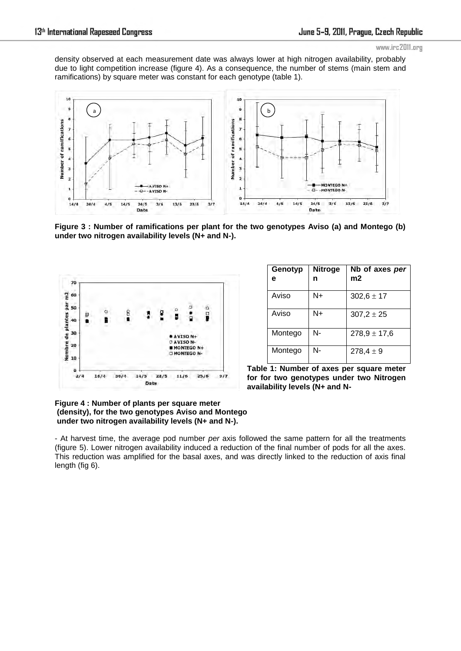density observed at each measurement date was always lower at high nitrogen availability, probably due to light competition increase (figure 4). As a consequence, the number of stems (main stem and ramifications) by square meter was constant for each genotype (table 1).



**Figure 3 : Number of ramifications per plant for the two genotypes Aviso (a) and Montego (b) under two nitrogen availability levels (N+ and N-).**



| Genotyp<br>е | <b>Nitroge</b><br>n | Nb of axes per<br>m2 |
|--------------|---------------------|----------------------|
| Aviso        | N+                  | $302,6 \pm 17$       |
| Aviso        | N+                  | $307,2 \pm 25$       |
| Montego      | N-                  | $278,9 \pm 17,6$     |
| Montego      | N-                  | $278,4 \pm 9$        |

**Table 1: Number of axes per square meter for for two genotypes under two Nitrogen availability levels (N+ and N-**

## **Figure 4 : Number of plants per square meter (density), for the two genotypes Aviso and Montego under two nitrogen availability levels (N+ and N-).**

- At harvest time, the average pod number *per* axis followed the same pattern for all the treatments (figure 5). Lower nitrogen availability induced a reduction of the final number of pods for all the axes. This reduction was amplified for the basal axes, and was directly linked to the reduction of axis final length (fig 6).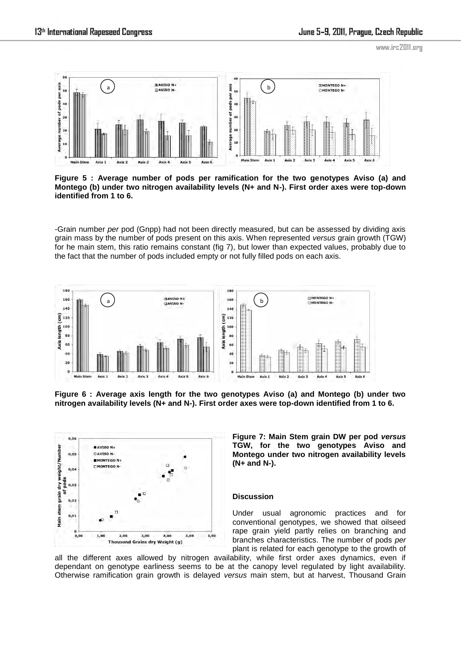

**Figure 5 : Average number of pods per ramification for the two genotypes Aviso (a) and Montego (b) under two nitrogen availability levels (N+ and N-). First order axes were top-down identified from 1 to 6.** 

-Grain number *per* pod (Gnpp) had not been directly measured, but can be assessed by dividing axis grain mass by the number of pods present on this axis. When represented *versus* grain growth (TGW) for he main stem, this ratio remains constant (fig 7), but lower than expected values, probably due to the fact that the number of pods included empty or not fully filled pods on each axis.



**Figure 6 : Average axis length for the two genotypes Aviso (a) and Montego (b) under two nitrogen availability levels (N+ and N-). First order axes were top-down identified from 1 to 6.** 



**Figure 7: Main Stem grain DW per pod** *versus* **TGW, for the two genotypes Aviso and Montego under two nitrogen availability levels (N+ and N-).**

### **Discussion**

Under usual agronomic practices and for conventional genotypes, we showed that oilseed rape grain yield partly relies on branching and branches characteristics. The number of pods *per*  plant is related for each genotype to the growth of

all the different axes allowed by nitrogen availability, while first order axes dynamics, even if dependant on genotype earliness seems to be at the canopy level regulated by light availability. Otherwise ramification grain growth is delayed *versus* main stem, but at harvest, Thousand Grain